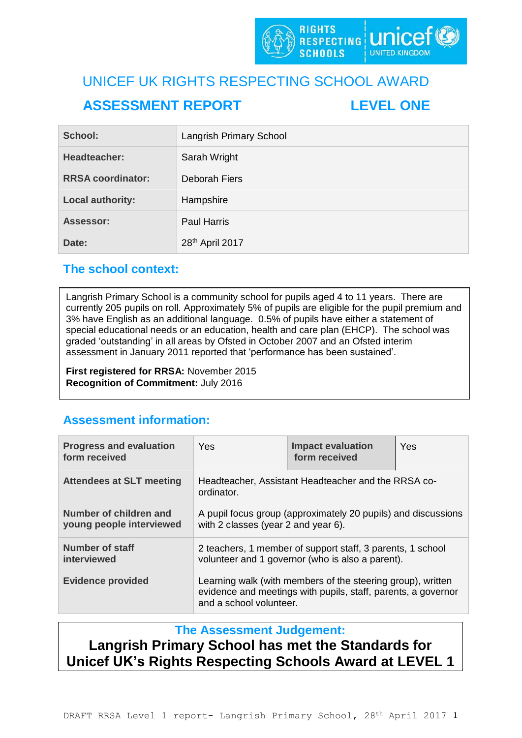

# UNICEF UK RIGHTS RESPECTING SCHOOL AWARD **ASSESSMENT REPORT LEVEL ONE**

| School:                  | <b>Langrish Primary School</b> |
|--------------------------|--------------------------------|
| Headteacher:             | Sarah Wright                   |
| <b>RRSA coordinator:</b> | Deborah Fiers                  |
| <b>Local authority:</b>  | Hampshire                      |
| Assessor:                | <b>Paul Harris</b>             |
| Date:                    | 28th April 2017                |

# **The school context:**

Langrish Primary School is a community school for pupils aged 4 to 11 years. There are currently 205 pupils on roll. Approximately 5% of pupils are eligible for the pupil premium and 3% have English as an additional language. 0.5% of pupils have either a statement of special educational needs or an education, health and care plan (EHCP). The school was graded 'outstanding' in all areas by Ofsted in October 2007 and an Ofsted interim assessment in January 2011 reported that 'performance has been sustained'.

**First registered for RRSA:** November 2015 **Recognition of Commitment:** July 2016

# **Assessment information:**

| <b>Progress and evaluation</b><br>form received    | <b>Yes</b>                                                                                                                                              | <b>Impact evaluation</b><br>form received | Yes |  |
|----------------------------------------------------|---------------------------------------------------------------------------------------------------------------------------------------------------------|-------------------------------------------|-----|--|
| <b>Attendees at SLT meeting</b>                    | Headteacher, Assistant Headteacher and the RRSA co-<br>ordinator.                                                                                       |                                           |     |  |
| Number of children and<br>young people interviewed | A pupil focus group (approximately 20 pupils) and discussions<br>with 2 classes (year 2 and year 6).                                                    |                                           |     |  |
| <b>Number of staff</b><br>interviewed              | 2 teachers, 1 member of support staff, 3 parents, 1 school<br>volunteer and 1 governor (who is also a parent).                                          |                                           |     |  |
| <b>Evidence provided</b>                           | Learning walk (with members of the steering group), written<br>evidence and meetings with pupils, staff, parents, a governor<br>and a school volunteer. |                                           |     |  |

# **The Assessment Judgement:**

**Langrish Primary School has met the Standards for Unicef UK's Rights Respecting Schools Award at LEVEL 1**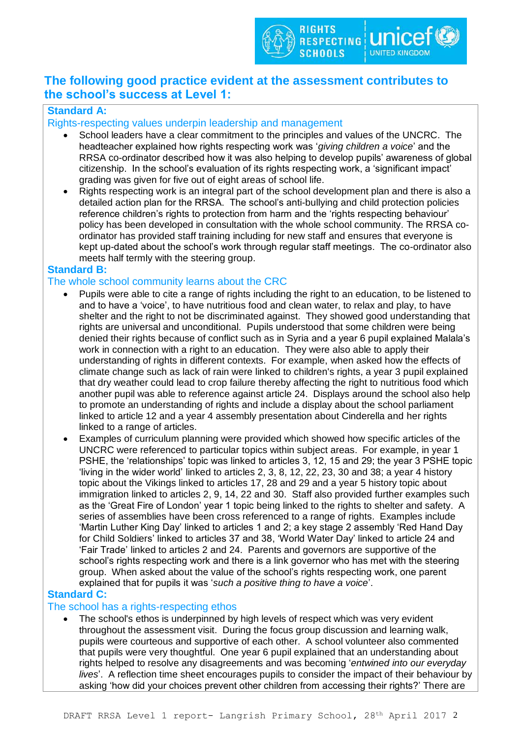

# **The following good practice evident at the assessment contributes to the school's success at Level 1:**

## **Standard A:**

#### Rights-respecting values underpin leadership and management

- School leaders have a clear commitment to the principles and values of the UNCRC. The headteacher explained how rights respecting work was '*giving children a voice*' and the RRSA co-ordinator described how it was also helping to develop pupils' awareness of global citizenship. In the school's evaluation of its rights respecting work, a 'significant impact' grading was given for five out of eight areas of school life.
- Rights respecting work is an integral part of the school development plan and there is also a detailed action plan for the RRSA. The school's anti-bullying and child protection policies reference children's rights to protection from harm and the 'rights respecting behaviour' policy has been developed in consultation with the whole school community. The RRSA coordinator has provided staff training including for new staff and ensures that everyone is kept up-dated about the school's work through regular staff meetings. The co-ordinator also meets half termly with the steering group.

#### **Standard B:**

#### The whole school community learns about the CRC

- Pupils were able to cite a range of rights including the right to an education, to be listened to and to have a 'voice', to have nutritious food and clean water, to relax and play, to have shelter and the right to not be discriminated against. They showed good understanding that rights are universal and unconditional. Pupils understood that some children were being denied their rights because of conflict such as in Syria and a year 6 pupil explained Malala's work in connection with a right to an education. They were also able to apply their understanding of rights in different contexts. For example, when asked how the effects of climate change such as lack of rain were linked to children's rights, a year 3 pupil explained that dry weather could lead to crop failure thereby affecting the right to nutritious food which another pupil was able to reference against article 24. Displays around the school also help to promote an understanding of rights and include a display about the school parliament linked to article 12 and a year 4 assembly presentation about Cinderella and her rights linked to a range of articles.
- Examples of curriculum planning were provided which showed how specific articles of the UNCRC were referenced to particular topics within subject areas. For example, in year 1 PSHE, the 'relationships' topic was linked to articles 3, 12, 15 and 29; the year 3 PSHE topic 'living in the wider world' linked to articles 2, 3, 8, 12, 22, 23, 30 and 38; a year 4 history topic about the Vikings linked to articles 17, 28 and 29 and a year 5 history topic about immigration linked to articles 2, 9, 14, 22 and 30. Staff also provided further examples such as the 'Great Fire of London' year 1 topic being linked to the rights to shelter and safety. A series of assemblies have been cross referenced to a range of rights. Examples include 'Martin Luther King Day' linked to articles 1 and 2; a key stage 2 assembly 'Red Hand Day for Child Soldiers' linked to articles 37 and 38, 'World Water Day' linked to article 24 and 'Fair Trade' linked to articles 2 and 24. Parents and governors are supportive of the school's rights respecting work and there is a link governor who has met with the steering group. When asked about the value of the school's rights respecting work, one parent explained that for pupils it was '*such a positive thing to have a voice*'.

## **Standard C:**

#### The school has a rights-respecting ethos

 The school's ethos is underpinned by high levels of respect which was very evident throughout the assessment visit. During the focus group discussion and learning walk, pupils were courteous and supportive of each other. A school volunteer also commented that pupils were very thoughtful. One year 6 pupil explained that an understanding about rights helped to resolve any disagreements and was becoming '*entwined into our everyday lives*'. A reflection time sheet encourages pupils to consider the impact of their behaviour by asking 'how did your choices prevent other children from accessing their rights?' There are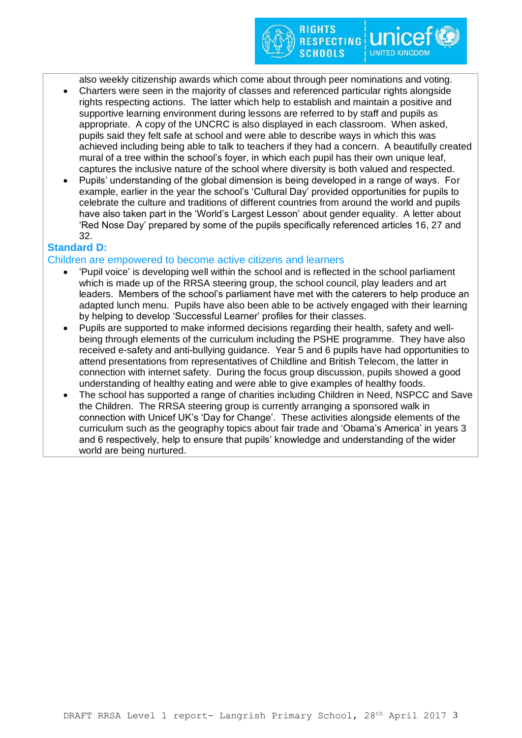also weekly citizenship awards which come about through peer nominations and voting.

RIGHTS

**SCHOOLS** 

**RESPECTING UNICE** 

- Charters were seen in the majority of classes and referenced particular rights alongside rights respecting actions. The latter which help to establish and maintain a positive and supportive learning environment during lessons are referred to by staff and pupils as appropriate. A copy of the UNCRC is also displayed in each classroom. When asked, pupils said they felt safe at school and were able to describe ways in which this was achieved including being able to talk to teachers if they had a concern. A beautifully created mural of a tree within the school's foyer, in which each pupil has their own unique leaf, captures the inclusive nature of the school where diversity is both valued and respected.
- Pupils' understanding of the global dimension is being developed in a range of ways. For example, earlier in the year the school's 'Cultural Day' provided opportunities for pupils to celebrate the culture and traditions of different countries from around the world and pupils have also taken part in the 'World's Largest Lesson' about gender equality. A letter about 'Red Nose Day' prepared by some of the pupils specifically referenced articles 16, 27 and 32.

## **Standard D:**

#### Children are empowered to become active citizens and learners

- 'Pupil voice' is developing well within the school and is reflected in the school parliament which is made up of the RRSA steering group, the school council, play leaders and art leaders. Members of the school's parliament have met with the caterers to help produce an adapted lunch menu. Pupils have also been able to be actively engaged with their learning by helping to develop 'Successful Learner' profiles for their classes.
- Pupils are supported to make informed decisions regarding their health, safety and wellbeing through elements of the curriculum including the PSHE programme. They have also received e-safety and anti-bullying guidance. Year 5 and 6 pupils have had opportunities to attend presentations from representatives of Childline and British Telecom, the latter in connection with internet safety. During the focus group discussion, pupils showed a good understanding of healthy eating and were able to give examples of healthy foods.
- The school has supported a range of charities including Children in Need, NSPCC and Save the Children. The RRSA steering group is currently arranging a sponsored walk in connection with Unicef UK's 'Day for Change'. These activities alongside elements of the curriculum such as the geography topics about fair trade and 'Obama's America' in years 3 and 6 respectively, help to ensure that pupils' knowledge and understanding of the wider world are being nurtured.